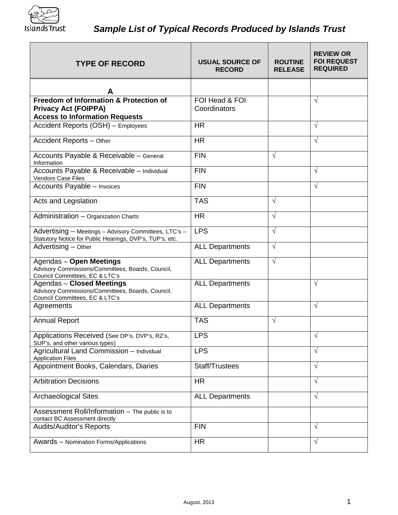

| <b>TYPE OF RECORD</b>                                                                                                   | <b>USUAL SOURCE OF</b><br><b>RECORD</b> | <b>ROUTINE</b><br><b>RELEASE</b> | <b>REVIEW OR</b><br><b>FOI REQUEST</b><br><b>REQUIRED</b> |
|-------------------------------------------------------------------------------------------------------------------------|-----------------------------------------|----------------------------------|-----------------------------------------------------------|
| A                                                                                                                       |                                         |                                  |                                                           |
| Freedom of Information & Protection of<br><b>Privacy Act (FOIPPA)</b><br><b>Access to Information Requests</b>          | FOI Head & FOI<br>Coordinators          |                                  | $\sqrt{}$                                                 |
| Accident Reports (OSH) - Employees                                                                                      | <b>HR</b>                               |                                  | V                                                         |
| Accident Reports - Other                                                                                                | <b>HR</b>                               |                                  | $\sqrt{}$                                                 |
| Accounts Payable & Receivable - General<br>Information                                                                  | <b>FIN</b>                              | √                                |                                                           |
| Accounts Payable & Receivable - Individual<br>Vendors Case Files                                                        | <b>FIN</b>                              |                                  | $\sqrt{}$                                                 |
| Accounts Payable - Invoices                                                                                             | <b>FIN</b>                              |                                  | $\sqrt{}$                                                 |
| Acts and Legislation                                                                                                    | <b>TAS</b>                              | $\sqrt{}$                        |                                                           |
| Administration - Organization Charts                                                                                    | <b>HR</b>                               | $\sqrt{}$                        |                                                           |
| Advertising - Meetings - Advisory Committees, LTC's -<br>Statutory Notice for Public Hearings, DVP's, TUP's, etc.       | <b>LPS</b>                              | √                                |                                                           |
| Advertising - Other                                                                                                     | <b>ALL Departments</b>                  | $\sqrt{}$                        |                                                           |
| <b>Agendas - Open Meetings</b><br>Advisory Commissions/Committees, Boards, Council,<br>Council Committees, EC & LTC's   | <b>ALL Departments</b>                  | V                                |                                                           |
| <b>Agendas - Closed Meetings</b><br>Advisory Commissions/Committees, Boards, Council,<br>Council Committees, EC & LTC's | <b>ALL Departments</b>                  |                                  | $\sqrt{}$                                                 |
| Agreements                                                                                                              | <b>ALL Departments</b>                  |                                  | V                                                         |
| <b>Annual Report</b>                                                                                                    | <b>TAS</b>                              | $\sqrt{}$                        |                                                           |
| Applications Received (See DP's, DVP's, RZ's,<br>SUP's, and other various types)                                        | <b>LPS</b>                              |                                  | V                                                         |
| Agricultural Land Commission - Individual<br><b>Application Files</b>                                                   | <b>LPS</b>                              |                                  | $\sqrt{}$                                                 |
| Appointment Books, Calendars, Diaries                                                                                   | Staff/Trustees                          |                                  | √                                                         |
| <b>Arbitration Decisions</b>                                                                                            | <b>HR</b>                               |                                  | $\sqrt{ }$                                                |
| <b>Archaeological Sites</b>                                                                                             | <b>ALL Departments</b>                  |                                  | √                                                         |
| Assessment Roll/Information - The public is to<br>contact BC Assessment directly                                        |                                         |                                  |                                                           |
| <b>Audits/Auditor's Reports</b>                                                                                         | <b>FIN</b>                              |                                  | $\sqrt{}$                                                 |
| Awards - Nomination Forms/Applications                                                                                  | <b>HR</b>                               |                                  | $\sqrt{ }$                                                |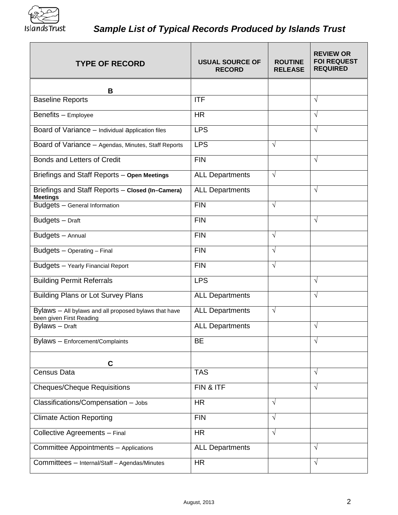

| <b>TYPE OF RECORD</b>                                                             | <b>USUAL SOURCE OF</b><br><b>RECORD</b> | <b>ROUTINE</b><br><b>RELEASE</b> | <b>REVIEW OR</b><br><b>FOI REQUEST</b><br><b>REQUIRED</b> |
|-----------------------------------------------------------------------------------|-----------------------------------------|----------------------------------|-----------------------------------------------------------|
| B                                                                                 |                                         |                                  |                                                           |
| <b>Baseline Reports</b>                                                           | <b>ITF</b>                              |                                  | $\sqrt{ }$                                                |
| Benefits - Employee                                                               | <b>HR</b>                               |                                  | $\sqrt{ }$                                                |
| Board of Variance - Individual application files                                  | <b>LPS</b>                              |                                  | V                                                         |
| Board of Variance - Agendas, Minutes, Staff Reports                               | <b>LPS</b>                              | V                                |                                                           |
| Bonds and Letters of Credit                                                       | <b>FIN</b>                              |                                  | $\sqrt{}$                                                 |
| Briefings and Staff Reports - Open Meetings                                       | <b>ALL Departments</b>                  | $\sqrt{}$                        |                                                           |
| Briefings and Staff Reports - Closed (In-Camera)<br><b>Meetings</b>               | <b>ALL Departments</b>                  |                                  | $\sqrt{}$                                                 |
| Budgets - General Information                                                     | <b>FIN</b>                              | $\sqrt{ }$                       |                                                           |
| Budgets - Draft                                                                   | <b>FIN</b>                              |                                  | $\sqrt{}$                                                 |
| Budgets - Annual                                                                  | <b>FIN</b>                              | V                                |                                                           |
| Budgets - Operating - Final                                                       | <b>FIN</b>                              | $\sqrt{}$                        |                                                           |
| Budgets - Yearly Financial Report                                                 | <b>FIN</b>                              | $\sqrt{}$                        |                                                           |
| <b>Building Permit Referrals</b>                                                  | <b>LPS</b>                              |                                  | V                                                         |
| <b>Building Plans or Lot Survey Plans</b>                                         | <b>ALL Departments</b>                  |                                  | V                                                         |
| Bylaws - All bylaws and all proposed bylaws that have<br>been given First Reading | <b>ALL Departments</b>                  | $\sqrt{ }$                       |                                                           |
| Bylaws - Draft                                                                    | <b>ALL Departments</b>                  |                                  | $\sqrt{}$                                                 |
| Bylaws - Enforcement/Complaints                                                   | <b>BE</b>                               |                                  | V                                                         |
| $\mathbf c$                                                                       |                                         |                                  |                                                           |
| <b>Census Data</b>                                                                | <b>TAS</b>                              |                                  | $\sqrt{}$                                                 |
| <b>Cheques/Cheque Requisitions</b>                                                | FIN & ITF                               |                                  | $\sqrt{}$                                                 |
| Classifications/Compensation - Jobs                                               | <b>HR</b>                               | V                                |                                                           |
| <b>Climate Action Reporting</b>                                                   | <b>FIN</b>                              | V                                |                                                           |
| Collective Agreements - Final                                                     | <b>HR</b>                               | √                                |                                                           |
| Committee Appointments - Applications                                             | <b>ALL Departments</b>                  |                                  | V                                                         |
| Committees - Internal/Staff - Agendas/Minutes                                     | <b>HR</b>                               |                                  | $\sqrt{}$                                                 |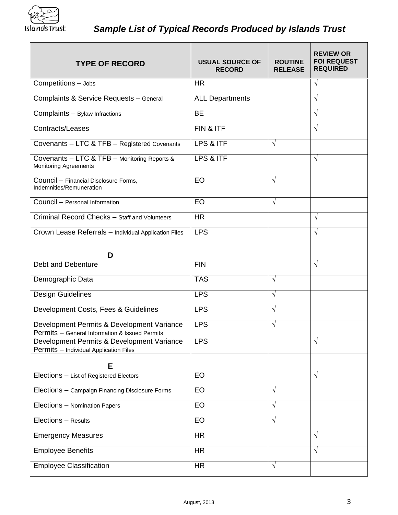

| <b>TYPE OF RECORD</b>                                                                                                                  | <b>USUAL SOURCE OF</b><br><b>RECORD</b> | <b>ROUTINE</b><br><b>RELEASE</b> | <b>REVIEW OR</b><br><b>FOI REQUEST</b><br><b>REQUIRED</b> |
|----------------------------------------------------------------------------------------------------------------------------------------|-----------------------------------------|----------------------------------|-----------------------------------------------------------|
| Competitions - Jobs                                                                                                                    | <b>HR</b>                               |                                  | $\sqrt{}$                                                 |
| Complaints & Service Requests - General                                                                                                | <b>ALL Departments</b>                  |                                  | $\sqrt{}$                                                 |
| Complaints - Bylaw Infractions                                                                                                         | <b>BE</b>                               |                                  | $\sqrt{}$                                                 |
| Contracts/Leases                                                                                                                       | FIN & ITF                               |                                  | $\sqrt{}$                                                 |
| Covenants - LTC & TFB - Registered Covenants                                                                                           | LPS & ITF                               | $\sqrt{}$                        |                                                           |
| Covenants - LTC & TFB - Monitoring Reports &<br><b>Monitoring Agreements</b>                                                           | LPS & ITF                               |                                  | √                                                         |
| Council - Financial Disclosure Forms,<br>Indemnities/Remuneration                                                                      | EO                                      | $\sqrt{}$                        |                                                           |
| Council - Personal Information                                                                                                         | EO                                      | $\sqrt{}$                        |                                                           |
| Criminal Record Checks - Staff and Volunteers                                                                                          | <b>HR</b>                               |                                  | $\sqrt{}$                                                 |
| Crown Lease Referrals - Individual Application Files                                                                                   | <b>LPS</b>                              |                                  | √                                                         |
| D                                                                                                                                      |                                         |                                  |                                                           |
| Debt and Debenture                                                                                                                     | <b>FIN</b>                              |                                  | V                                                         |
| Demographic Data                                                                                                                       | <b>TAS</b>                              | $\sqrt{}$                        |                                                           |
| Design Guidelines                                                                                                                      | <b>LPS</b>                              | $\sqrt{}$                        |                                                           |
| Development Costs, Fees & Guidelines                                                                                                   | <b>LPS</b>                              | $\sqrt{ }$                       |                                                           |
| Development Permits & Development Variance                                                                                             | <b>LPS</b>                              | √                                |                                                           |
| Permits - General Information & Issued Permits<br>Development Permits & Development Variance<br>Permits - Individual Application Files | <b>LPS</b>                              |                                  | V                                                         |
| Е                                                                                                                                      |                                         |                                  |                                                           |
| Elections - List of Registered Electors                                                                                                | EO                                      |                                  | $\sqrt{}$                                                 |
| Elections - Campaign Financing Disclosure Forms                                                                                        | EO                                      | $\sqrt{}$                        |                                                           |
| Elections - Nomination Papers                                                                                                          | EO                                      | √                                |                                                           |
| Elections - Results                                                                                                                    | EO                                      | V                                |                                                           |
| <b>Emergency Measures</b>                                                                                                              | <b>HR</b>                               |                                  | V                                                         |
| <b>Employee Benefits</b>                                                                                                               | <b>HR</b>                               |                                  | $\sqrt{}$                                                 |
| <b>Employee Classification</b>                                                                                                         | <b>HR</b>                               | $\sqrt{}$                        |                                                           |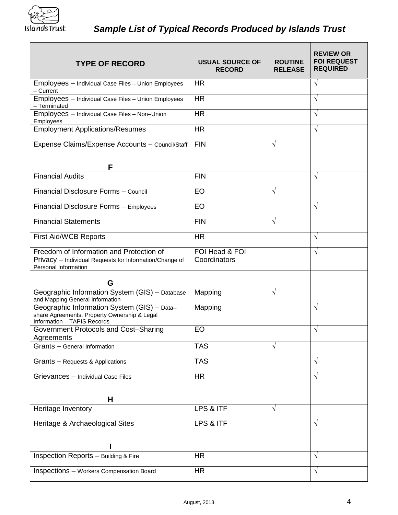

| <b>TYPE OF RECORD</b>                                                                                                       | <b>USUAL SOURCE OF</b><br><b>RECORD</b> | <b>ROUTINE</b><br><b>RELEASE</b> | <b>REVIEW OR</b><br><b>FOI REQUEST</b><br><b>REQUIRED</b> |
|-----------------------------------------------------------------------------------------------------------------------------|-----------------------------------------|----------------------------------|-----------------------------------------------------------|
| Employees - Individual Case Files - Union Employees<br>- Current                                                            | <b>HR</b>                               |                                  | $\sqrt{ }$                                                |
| Employees - Individual Case Files - Union Employees<br>- Terminated                                                         | <b>HR</b>                               |                                  | $\sqrt{ }$                                                |
| Employees - Individual Case Files - Non-Union<br>Employees                                                                  | <b>HR</b>                               |                                  | $\sqrt{}$                                                 |
| <b>Employment Applications/Resumes</b>                                                                                      | <b>HR</b>                               |                                  | V                                                         |
| Expense Claims/Expense Accounts - Council/Staff                                                                             | <b>FIN</b>                              | √                                |                                                           |
| F                                                                                                                           |                                         |                                  |                                                           |
| <b>Financial Audits</b>                                                                                                     | <b>FIN</b>                              |                                  | $\sqrt{}$                                                 |
| Financial Disclosure Forms - Council                                                                                        | EO                                      | $\sqrt{}$                        |                                                           |
| Financial Disclosure Forms - Employees                                                                                      | EO                                      |                                  | $\sqrt{}$                                                 |
| <b>Financial Statements</b>                                                                                                 | <b>FIN</b>                              | V                                |                                                           |
| <b>First Aid/WCB Reports</b>                                                                                                | <b>HR</b>                               |                                  | √                                                         |
| Freedom of Information and Protection of<br>Privacy - Individual Requests for Information/Change of<br>Personal Information | FOI Head & FOI<br>Coordinators          |                                  | $\sqrt{}$                                                 |
| G                                                                                                                           |                                         |                                  |                                                           |
| Geographic Information System (GIS) - Database<br>and Mapping General Information                                           | Mapping                                 | V                                |                                                           |
| Geographic Information System (GIS) - Data-<br>share Agreements, Property Ownership & Legal<br>Information - TAPIS Records  | Mapping                                 |                                  | √                                                         |
| Government Protocols and Cost-Sharing<br>Agreements                                                                         | EO                                      |                                  | $\sqrt{}$                                                 |
| Grants - General Information                                                                                                | <b>TAS</b>                              | √                                |                                                           |
| Grants - Requests & Applications                                                                                            | <b>TAS</b>                              |                                  | $\sqrt{}$                                                 |
| Grievances - Individual Case Files                                                                                          | <b>HR</b>                               |                                  | $\sqrt{}$                                                 |
| н                                                                                                                           |                                         |                                  |                                                           |
| Heritage Inventory                                                                                                          | LPS & ITF                               | √                                |                                                           |
| Heritage & Archaeological Sites                                                                                             | LPS & ITF                               |                                  | √                                                         |
|                                                                                                                             |                                         |                                  |                                                           |
| Inspection Reports - Building & Fire                                                                                        | <b>HR</b>                               |                                  | V                                                         |
| <b>Inspections - Workers Compensation Board</b>                                                                             | <b>HR</b>                               |                                  | √                                                         |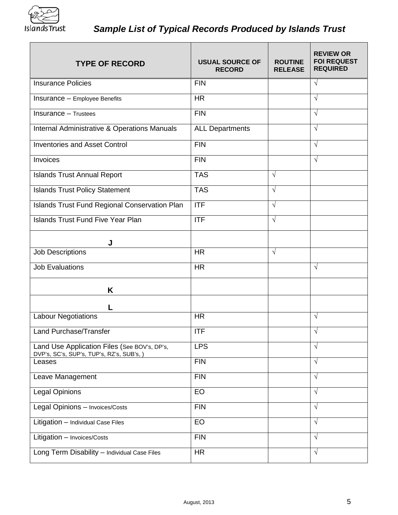

| <b>TYPE OF RECORD</b>                                                                     | <b>USUAL SOURCE OF</b><br><b>RECORD</b> | <b>ROUTINE</b><br><b>RELEASE</b> | <b>REVIEW OR</b><br><b>FOI REQUEST</b><br><b>REQUIRED</b> |
|-------------------------------------------------------------------------------------------|-----------------------------------------|----------------------------------|-----------------------------------------------------------|
| <b>Insurance Policies</b>                                                                 | <b>FIN</b>                              |                                  | $\sqrt{}$                                                 |
| Insurance - Employee Benefits                                                             | <b>HR</b>                               |                                  | $\sqrt{}$                                                 |
| Insurance - Trustees                                                                      | <b>FIN</b>                              |                                  | $\sqrt{}$                                                 |
| Internal Administrative & Operations Manuals                                              | <b>ALL Departments</b>                  |                                  | √                                                         |
| <b>Inventories and Asset Control</b>                                                      | <b>FIN</b>                              |                                  | V                                                         |
| Invoices                                                                                  | <b>FIN</b>                              |                                  | √                                                         |
| <b>Islands Trust Annual Report</b>                                                        | <b>TAS</b>                              | $\sqrt{}$                        |                                                           |
| <b>Islands Trust Policy Statement</b>                                                     | <b>TAS</b>                              | $\sqrt{}$                        |                                                           |
| Islands Trust Fund Regional Conservation Plan                                             | $\Pi$ F                                 | $\sqrt{ }$                       |                                                           |
| Islands Trust Fund Five Year Plan                                                         | <b>ITF</b>                              | $\sqrt{}$                        |                                                           |
| J                                                                                         |                                         |                                  |                                                           |
| <b>Job Descriptions</b>                                                                   | <b>HR</b>                               | $\sqrt{ }$                       |                                                           |
| <b>Job Evaluations</b>                                                                    | <b>HR</b>                               |                                  | $\sqrt{ }$                                                |
| Κ                                                                                         |                                         |                                  |                                                           |
| L                                                                                         |                                         |                                  |                                                           |
| <b>Labour Negotiations</b>                                                                | <b>HR</b>                               |                                  | V                                                         |
| Land Purchase/Transfer                                                                    | <b>ITF</b>                              |                                  | $\sqrt{ }$                                                |
| Land Use Application Files (See BOV's, DP's,<br>DVP's, SC's, SUP's, TUP's, RZ's, SUB's, ) | <b>LPS</b>                              |                                  | √                                                         |
| Leases                                                                                    | <b>FIN</b>                              |                                  | √                                                         |
| Leave Management                                                                          | <b>FIN</b>                              |                                  | $\sqrt{}$                                                 |
| Legal Opinions                                                                            | EO                                      |                                  | $\sqrt{ }$                                                |
| Legal Opinions - Invoices/Costs                                                           | <b>FIN</b>                              |                                  | $\sqrt{ }$                                                |
| Litigation - Individual Case Files                                                        | EO                                      |                                  | V                                                         |
| Litigation - Invoices/Costs                                                               | <b>FIN</b>                              |                                  | $\sqrt{ }$                                                |
| Long Term Disability - Individual Case Files                                              | <b>HR</b>                               |                                  | $\sqrt{}$                                                 |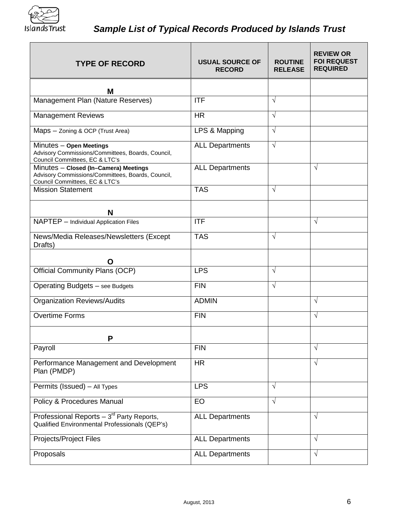

| <b>TYPE OF RECORD</b>                                                                                                        | <b>USUAL SOURCE OF</b><br><b>RECORD</b> | <b>ROUTINE</b><br><b>RELEASE</b> | <b>REVIEW OR</b><br><b>FOI REQUEST</b><br><b>REQUIRED</b> |
|------------------------------------------------------------------------------------------------------------------------------|-----------------------------------------|----------------------------------|-----------------------------------------------------------|
| M                                                                                                                            |                                         |                                  |                                                           |
| Management Plan (Nature Reserves)                                                                                            | <b>ITF</b>                              | √                                |                                                           |
| <b>Management Reviews</b>                                                                                                    | <b>HR</b>                               | $\sqrt{}$                        |                                                           |
| Maps - Zoning & OCP (Trust Area)                                                                                             | LPS & Mapping                           | $\sqrt{}$                        |                                                           |
| Minutes - Open Meetings<br>Advisory Commissions/Committees, Boards, Council,<br>Council Committees, EC & LTC's               | <b>ALL Departments</b>                  | $\sqrt{}$                        |                                                           |
| Minutes - Closed (In-Camera) Meetings<br>Advisory Commissions/Committees, Boards, Council,<br>Council Committees, EC & LTC's | <b>ALL Departments</b>                  |                                  | $\sqrt{}$                                                 |
| <b>Mission Statement</b>                                                                                                     | <b>TAS</b>                              | $\sqrt{ }$                       |                                                           |
| N                                                                                                                            |                                         |                                  |                                                           |
| NAPTEP - Individual Application Files                                                                                        | <b>ITF</b>                              |                                  | $\sqrt{}$                                                 |
| News/Media Releases/Newsletters (Except<br>Drafts)                                                                           | <b>TAS</b>                              | $\sqrt{}$                        |                                                           |
| $\mathbf O$                                                                                                                  |                                         |                                  |                                                           |
| <b>Official Community Plans (OCP)</b>                                                                                        | <b>LPS</b>                              | √                                |                                                           |
| Operating Budgets - see Budgets                                                                                              | <b>FIN</b>                              | √                                |                                                           |
| <b>Organization Reviews/Audits</b>                                                                                           | <b>ADMIN</b>                            |                                  | V                                                         |
| <b>Overtime Forms</b>                                                                                                        | <b>FIN</b>                              |                                  | V                                                         |
| P                                                                                                                            |                                         |                                  |                                                           |
| Payroll                                                                                                                      | <b>FIN</b>                              |                                  | V                                                         |
| Performance Management and Development<br>Plan (PMDP)                                                                        | <b>HR</b>                               |                                  | $\sqrt{ }$                                                |
| Permits (Issued) - All Types                                                                                                 | <b>LPS</b>                              | $\sqrt{}$                        |                                                           |
| Policy & Procedures Manual                                                                                                   | EO                                      | √                                |                                                           |
| Professional Reports $-3^{rd}$ Party Reports,<br>Qualified Environmental Professionals (QEP's)                               | <b>ALL Departments</b>                  |                                  | $\sqrt{}$                                                 |
| Projects/Project Files                                                                                                       | <b>ALL Departments</b>                  |                                  | $\sqrt{}$                                                 |
| Proposals                                                                                                                    | <b>ALL Departments</b>                  |                                  | $\sqrt{ }$                                                |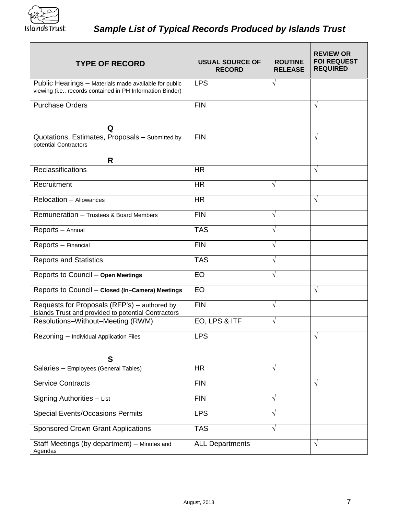

| <b>TYPE OF RECORD</b>                                                                                               | <b>USUAL SOURCE OF</b><br><b>RECORD</b> | <b>ROUTINE</b><br><b>RELEASE</b> | <b>REVIEW OR</b><br><b>FOI REQUEST</b><br><b>REQUIRED</b> |
|---------------------------------------------------------------------------------------------------------------------|-----------------------------------------|----------------------------------|-----------------------------------------------------------|
| Public Hearings - Materials made available for public<br>viewing (i.e., records contained in PH Information Binder) | <b>LPS</b>                              | $\sqrt{}$                        |                                                           |
| <b>Purchase Orders</b>                                                                                              | <b>FIN</b>                              |                                  | $\sqrt{}$                                                 |
| Q                                                                                                                   |                                         |                                  |                                                           |
| Quotations, Estimates, Proposals - Submitted by<br>potential Contractors                                            | <b>FIN</b>                              |                                  | $\sqrt{}$                                                 |
| R                                                                                                                   |                                         |                                  |                                                           |
| Reclassifications                                                                                                   | <b>HR</b>                               |                                  | $\sqrt{ }$                                                |
| Recruitment                                                                                                         | <b>HR</b>                               | $\sqrt{}$                        |                                                           |
| Relocation - Allowances                                                                                             | <b>HR</b>                               |                                  | $\sqrt{}$                                                 |
| Remuneration - Trustees & Board Members                                                                             | <b>FIN</b>                              | $\sqrt{}$                        |                                                           |
| Reports - Annual                                                                                                    | <b>TAS</b>                              | $\sqrt{ }$                       |                                                           |
| Reports - Financial                                                                                                 | <b>FIN</b>                              | $\sqrt{ }$                       |                                                           |
| <b>Reports and Statistics</b>                                                                                       | <b>TAS</b>                              | $\sqrt{}$                        |                                                           |
| Reports to Council - Open Meetings                                                                                  | EO                                      | $\sqrt{ }$                       |                                                           |
| Reports to Council - Closed (In-Camera) Meetings                                                                    | EO                                      |                                  | $\sqrt{ }$                                                |
| Requests for Proposals (RFP's) - authored by<br>Islands Trust and provided to potential Contractors                 | <b>FIN</b>                              | $\sqrt{}$                        |                                                           |
| Resolutions-Without-Meeting (RWM)                                                                                   | EO, LPS & ITF                           | $\sqrt{ }$                       |                                                           |
| Rezoning - Individual Application Files                                                                             | LPS                                     |                                  | V                                                         |
| S                                                                                                                   |                                         |                                  |                                                           |
| Salaries - Employees (General Tables)                                                                               | <b>HR</b>                               | $\sqrt{ }$                       |                                                           |
| <b>Service Contracts</b>                                                                                            | <b>FIN</b>                              |                                  | $\sqrt{ }$                                                |
| Signing Authorities - List                                                                                          | <b>FIN</b>                              | $\sqrt{}$                        |                                                           |
| <b>Special Events/Occasions Permits</b>                                                                             | <b>LPS</b>                              | $\sqrt{ }$                       |                                                           |
| <b>Sponsored Crown Grant Applications</b>                                                                           | <b>TAS</b>                              | $\sqrt{ }$                       |                                                           |
| Staff Meetings (by department) - Minutes and<br>Agendas                                                             | <b>ALL Departments</b>                  |                                  | $\sqrt{ }$                                                |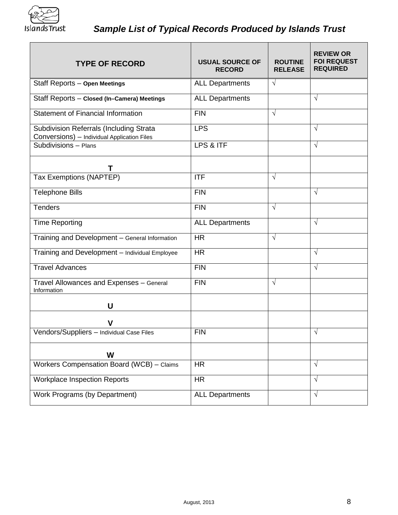

| <b>TYPE OF RECORD</b>                                                                  | <b>USUAL SOURCE OF</b><br><b>RECORD</b> | <b>ROUTINE</b><br><b>RELEASE</b> | <b>REVIEW OR</b><br><b>FOI REQUEST</b><br><b>REQUIRED</b> |
|----------------------------------------------------------------------------------------|-----------------------------------------|----------------------------------|-----------------------------------------------------------|
| Staff Reports - Open Meetings                                                          | <b>ALL Departments</b>                  | $\sqrt{}$                        |                                                           |
| Staff Reports - Closed (In-Camera) Meetings                                            | <b>ALL Departments</b>                  |                                  | $\sqrt{ }$                                                |
| Statement of Financial Information                                                     | <b>FIN</b>                              | $\sqrt{}$                        |                                                           |
| Subdivision Referrals (Including Strata<br>Conversions) - Individual Application Files | <b>LPS</b>                              |                                  | $\sqrt{ }$                                                |
| Subdivisions - Plans                                                                   | LPS & ITF                               |                                  | V                                                         |
| Т                                                                                      |                                         |                                  |                                                           |
| Tax Exemptions (NAPTEP)                                                                | <b>ITF</b>                              | $\sqrt{ }$                       |                                                           |
| <b>Telephone Bills</b>                                                                 | <b>FIN</b>                              |                                  | $\sqrt{}$                                                 |
| <b>Tenders</b>                                                                         | <b>FIN</b>                              | $\sqrt{ }$                       |                                                           |
| <b>Time Reporting</b>                                                                  | <b>ALL Departments</b>                  |                                  | $\sqrt{ }$                                                |
| Training and Development - General Information                                         | <b>HR</b>                               | $\sqrt{}$                        |                                                           |
| Training and Development - Individual Employee                                         | <b>HR</b>                               |                                  | $\sqrt{ }$                                                |
| <b>Travel Advances</b>                                                                 | <b>FIN</b>                              |                                  | $\sqrt{ }$                                                |
| Travel Allowances and Expenses - General<br>Information                                | <b>FIN</b>                              | $\sqrt{ }$                       |                                                           |
| U                                                                                      |                                         |                                  |                                                           |
|                                                                                        |                                         |                                  |                                                           |
| Vendors/Suppliers - Individual Case Files                                              | <b>FIN</b>                              |                                  | $\sqrt{ }$                                                |
| W                                                                                      |                                         |                                  |                                                           |
| Workers Compensation Board (WCB) - Claims                                              | <b>HR</b>                               |                                  | $\sqrt{ }$                                                |
| <b>Workplace Inspection Reports</b>                                                    | <b>HR</b>                               |                                  | $\sqrt{ }$                                                |
| Work Programs (by Department)                                                          | <b>ALL Departments</b>                  |                                  | V                                                         |